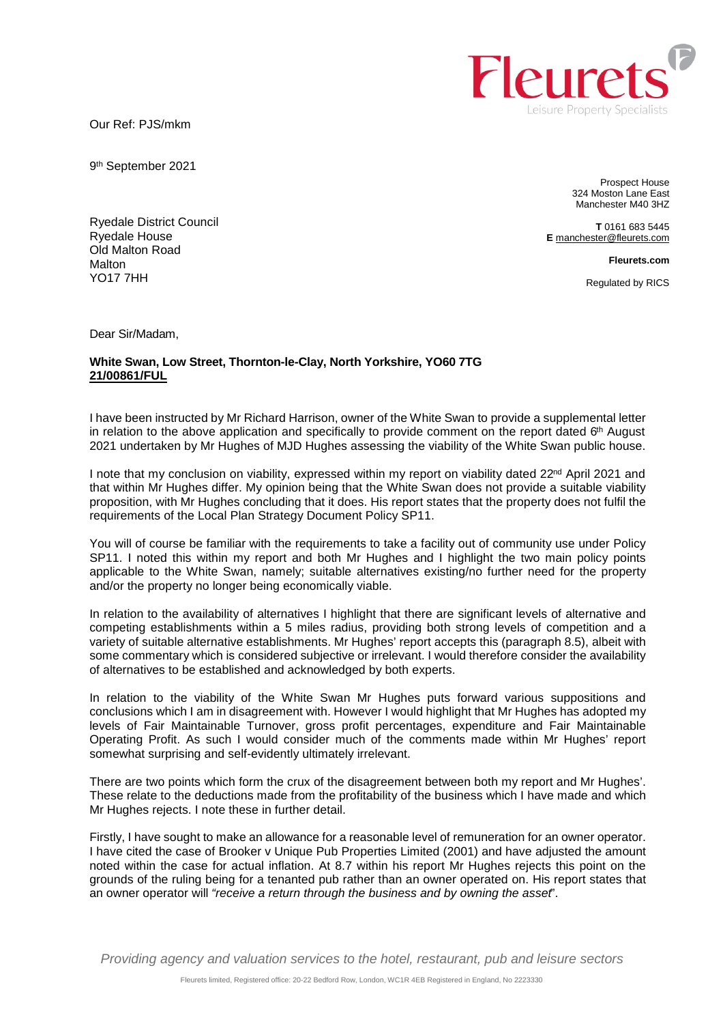Our Ref: PJS/mkm

9 th September 2021

Ryedale District Council

Prospect House 324 Moston Lane East Manchester M40 3HZ

**T** 0161 683 5445 **E** [manchester@fleurets.com](mailto:manchester@fleurets.com)

**Fleurets.com** 

Regulated by RICS

Dear Sir/Madam,

Ryedale House Old Malton Road

**Malton** YO17 7HH

## **White Swan, Low Street, Thornton-le-Clay, North Yorkshire, YO60 7TG 21/00861/FUL**

I have been instructed by Mr Richard Harrison, owner of the White Swan to provide a supplemental letter in relation to the above application and specifically to provide comment on the report dated 6<sup>th</sup> August 2021 undertaken by Mr Hughes of MJD Hughes assessing the viability of the White Swan public house.

I note that my conclusion on viability, expressed within my report on viability dated 22<sup>nd</sup> April 2021 and that within Mr Hughes differ. My opinion being that the White Swan does not provide a suitable viability proposition, with Mr Hughes concluding that it does. His report states that the property does not fulfil the requirements of the Local Plan Strategy Document Policy SP11.

You will of course be familiar with the requirements to take a facility out of community use under Policy SP11. I noted this within my report and both Mr Hughes and I highlight the two main policy points applicable to the White Swan, namely; suitable alternatives existing/no further need for the property and/or the property no longer being economically viable.

In relation to the availability of alternatives I highlight that there are significant levels of alternative and competing establishments within a 5 miles radius, providing both strong levels of competition and a variety of suitable alternative establishments. Mr Hughes' report accepts this (paragraph 8.5), albeit with some commentary which is considered subjective or irrelevant. I would therefore consider the availability of alternatives to be established and acknowledged by both experts.

In relation to the viability of the White Swan Mr Hughes puts forward various suppositions and conclusions which I am in disagreement with. However I would highlight that Mr Hughes has adopted my levels of Fair Maintainable Turnover, gross profit percentages, expenditure and Fair Maintainable Operating Profit. As such I would consider much of the comments made within Mr Hughes' report somewhat surprising and self-evidently ultimately irrelevant.

There are two points which form the crux of the disagreement between both my report and Mr Hughes'. These relate to the deductions made from the profitability of the business which I have made and which Mr Hughes rejects. I note these in further detail.

Firstly, I have sought to make an allowance for a reasonable level of remuneration for an owner operator. I have cited the case of Brooker v Unique Pub Properties Limited (2001) and have adjusted the amount noted within the case for actual inflation. At 8.7 within his report Mr Hughes rejects this point on the grounds of the ruling being for a tenanted pub rather than an owner operated on. His report states that an owner operator will *"receive a return through the business and by owning the asset*".

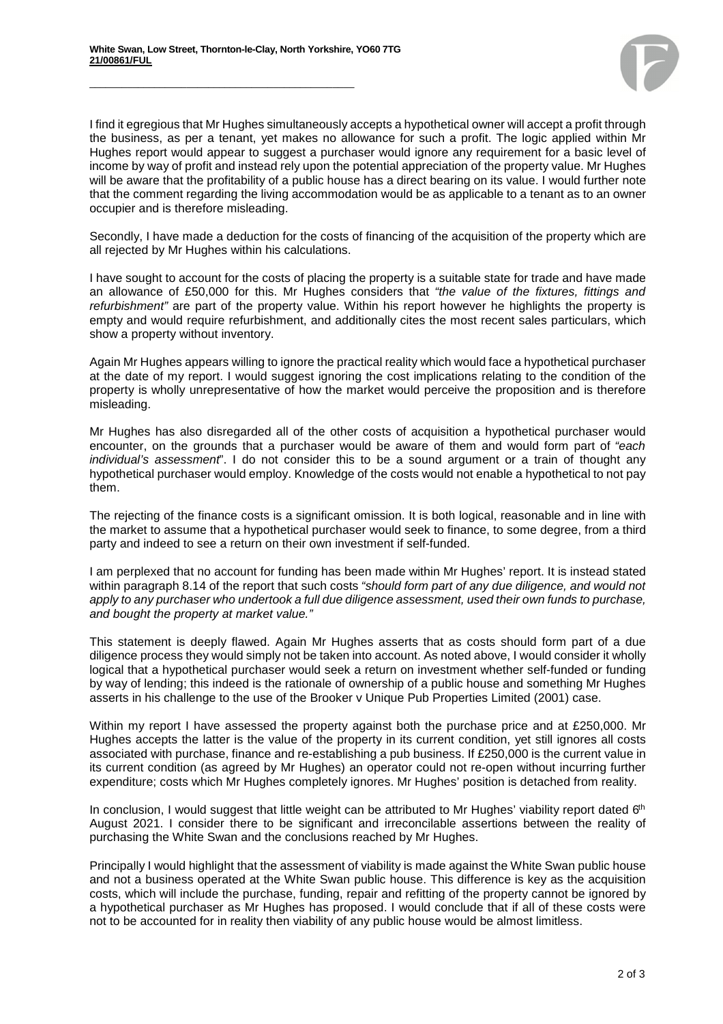\_\_\_\_\_\_\_\_\_\_\_\_\_\_\_\_\_\_\_\_\_\_\_\_\_\_\_\_\_\_\_\_\_\_\_\_\_\_\_\_\_\_\_\_\_\_\_\_\_



I find it egregious that Mr Hughes simultaneously accepts a hypothetical owner will accept a profit through the business, as per a tenant, yet makes no allowance for such a profit. The logic applied within Mr Hughes report would appear to suggest a purchaser would ignore any requirement for a basic level of income by way of profit and instead rely upon the potential appreciation of the property value. Mr Hughes will be aware that the profitability of a public house has a direct bearing on its value. I would further note that the comment regarding the living accommodation would be as applicable to a tenant as to an owner occupier and is therefore misleading.

Secondly, I have made a deduction for the costs of financing of the acquisition of the property which are all rejected by Mr Hughes within his calculations.

I have sought to account for the costs of placing the property is a suitable state for trade and have made an allowance of £50,000 for this. Mr Hughes considers that *"the value of the fixtures, fittings and refurbishment"* are part of the property value. Within his report however he highlights the property is empty and would require refurbishment, and additionally cites the most recent sales particulars, which show a property without inventory.

Again Mr Hughes appears willing to ignore the practical reality which would face a hypothetical purchaser at the date of my report. I would suggest ignoring the cost implications relating to the condition of the property is wholly unrepresentative of how the market would perceive the proposition and is therefore misleading.

Mr Hughes has also disregarded all of the other costs of acquisition a hypothetical purchaser would encounter, on the grounds that a purchaser would be aware of them and would form part of *"each individual's assessment*". I do not consider this to be a sound argument or a train of thought any hypothetical purchaser would employ. Knowledge of the costs would not enable a hypothetical to not pay them.

The rejecting of the finance costs is a significant omission. It is both logical, reasonable and in line with the market to assume that a hypothetical purchaser would seek to finance, to some degree, from a third party and indeed to see a return on their own investment if self-funded.

I am perplexed that no account for funding has been made within Mr Hughes' report. It is instead stated within paragraph 8.14 of the report that such costs *"should form part of any due diligence, and would not apply to any purchaser who undertook a full due diligence assessment, used their own funds to purchase, and bought the property at market value."* 

This statement is deeply flawed. Again Mr Hughes asserts that as costs should form part of a due diligence process they would simply not be taken into account. As noted above, I would consider it wholly logical that a hypothetical purchaser would seek a return on investment whether self-funded or funding by way of lending; this indeed is the rationale of ownership of a public house and something Mr Hughes asserts in his challenge to the use of the Brooker v Unique Pub Properties Limited (2001) case.

Within my report I have assessed the property against both the purchase price and at £250,000. Mr Hughes accepts the latter is the value of the property in its current condition, yet still ignores all costs associated with purchase, finance and re-establishing a pub business. If £250,000 is the current value in its current condition (as agreed by Mr Hughes) an operator could not re-open without incurring further expenditure; costs which Mr Hughes completely ignores. Mr Hughes' position is detached from reality.

In conclusion, I would suggest that little weight can be attributed to Mr Hughes' viability report dated  $6<sup>th</sup>$ August 2021. I consider there to be significant and irreconcilable assertions between the reality of purchasing the White Swan and the conclusions reached by Mr Hughes.

Principally I would highlight that the assessment of viability is made against the White Swan public house and not a business operated at the White Swan public house. This difference is key as the acquisition costs, which will include the purchase, funding, repair and refitting of the property cannot be ignored by a hypothetical purchaser as Mr Hughes has proposed. I would conclude that if all of these costs were not to be accounted for in reality then viability of any public house would be almost limitless.